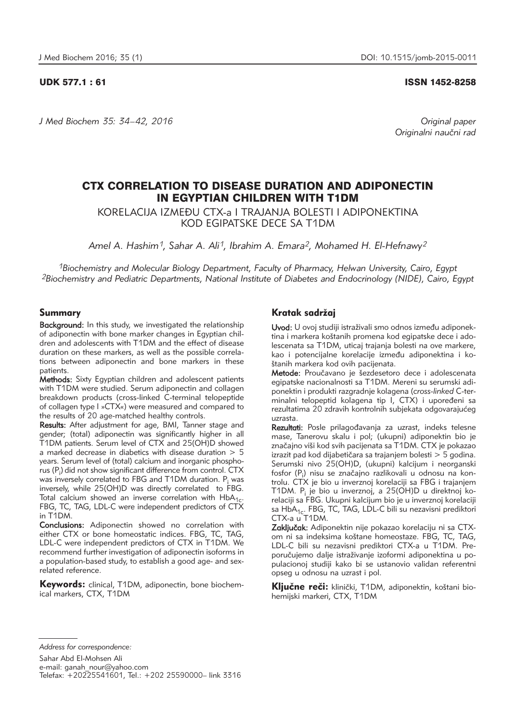*J Med Biochem 35: 34–42, 2016 Original paper*

# UDK 577.1 : 61 ISSN 1452-8258

Originalni naučni rad

# CTX CORRELATION TO DISEASE DURATION AND ADIPONECTIN IN EGYPTIAN CHILDREN WITH T1DM

KORELACIJA IZME\U CTX-a I TRAJANJA BOLESTI I ADIPONEKTINA KOD EGIPATSKE DECE SA T1DM

*Amel A. Hashim1, Sahar A. Ali1, Ibrahim A. Emara2, Mohamed H. El-Hefnawy2*

*1Biochemistry and Molecular Biology Department, Faculty of Pharmacy, Helwan University, Cairo, Egypt 2Biochemistry and Pediatric Departments, National Institute of Diabetes and Endocrinology (NIDE), Cairo, Egypt*

# Summary

Background: In this study, we investigated the relationship of adiponectin with bone marker changes in Egyptian children and adolescents with T1DM and the effect of disease duration on these markers, as well as the possible correlations between adiponectin and bone markers in these patients.

Methods: Sixty Egyptian children and adolescent patients with T1DM were studied. Serum adiponectin and collagen breakdown products (cross-linked C-terminal telopeptide of collagen type l »CTX«) were measured and compared to the results of 20 age-matched healthy controls.

Results: After adjustment for age, BMI, Tanner stage and gender; (total) adiponectin was significantly higher in all T1DM patients. Serum level of CTX and 25(OH)D showed a marked decrease in diabetics with disease duration  $> 5$ years. Serum level of (total) calcium and inorganic phosphorus (P<sub>i</sub>) did not show significant difference from control. CTX was inversely correlated to FBG and T1DM duration. P<sub>i</sub> was inversely, while 25(OH)D was directly correlated to FBG. Total calcium showed an inverse correlation with  $HbA<sub>1c</sub>$ FBG, TC, TAG, LDL-C were independent predictors of CTX in T1DM.

Conclusions: Adiponectin showed no correlation with either CTX or bone homeostatic indices. FBG, TC, TAG, LDL-C were independent predictors of CTX in T1DM. We recommend further investigation of adiponectin isoforms in a population-based study, to establish a good age- and sexrelated reference.

Keywords: clinical, T1DM, adiponectin, bone biochemical markers, CTX, T1DM

# Kratak sadržaj

Uvod: U ovoj studiji istraživali smo odnos između adiponektina i markera koštanih promena kod egipatske dece i adolescenata sa T1DM, uticaj trajanja bolesti na ove markere, kao i potencijalne korelacije između adiponektina i koštanih markera kod ovih pacijenata.

Metode: Proučavano je šezdesetoro dece i adolescenata egipatske nacionalnosti sa T1DM. Mereni su serumski adipo nektin i produkti razgradnje kolagena (*cross-linked* C-terminalni telopeptid kolagena tip I, CTX) i upoređeni sa rezultatima 20 zdravih kontrolnih subjekata odgovarajućeg uzrasta.

Rezultati: Posle prilagođavanja za uzrast, indeks telesne mase, Tanerovu skalu i pol; (ukupni) adiponektin bio je značajno viši kod svih pacijenata sa T1DM. CTX je pokazao izrazit pad kod dijabetičara sa trajanjem bolesti  $> 5$  godina. Serumski nivo 25(OH)D, (ukupni) kalcijum i neorganski fosfor (P<sub>i</sub>) nisu se značajno razlikovali u odnosu na kontrolu. CTX je bio u inverznoj korelaciji sa FBG i trajanjem T1DM. P<sub>i</sub> je bio u inverznoj, a 25(OH)D u direktnoj korelaciji sa FBG. Ukupni kalcijum bio je u inverznoj korelaciji sa HbA<sub>1c</sub>. FBG, TC, TAG, LDL-C bili su nezavisni prediktori CTX-a u T1DM.

Zaključak: Adiponektin nije pokazao korelaciju ni sa CTXom ni sa indeksima koštane homeostaze. FBG, TC, TAG, LDL-C bili su nezavisni prediktori CTX-a u T1DM. Preporučujemo dalje istraživanje izoformi adiponektina u populacionoj studiji kako bi se ustanovio validan referentni opseg u odnosu na uzrast i pol.

Kliučne reči: klinički, T1DM, adiponektin, koštani biohemijski markeri, CTX, T1DM

*Address for correspondence:* 

Sahar Abd El-Mohsen Ali e-mail: ganah\_nour@yahoo.com Telefax: +20225541601, Tel.: +202 25590000– link 3316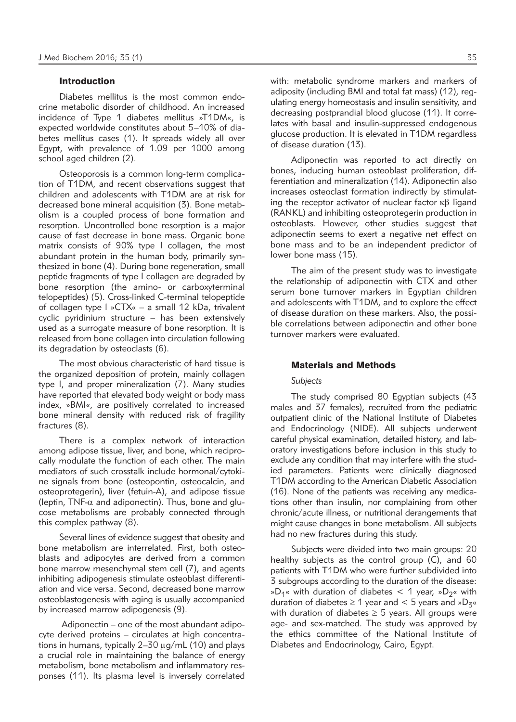### Introduction

Diabetes mellitus is the most common endocrine metabolic disorder of childhood. An increased incidence of Type 1 diabetes mellitus »T1DM«, is expected worldwide constitutes about 5–10% of diabetes mellitus cases (1). It spreads widely all over Egypt, with prevalence of 1.09 per 1000 among school aged children (2).

Osteoporosis is a common long-term complication of T1DM, and recent observations suggest that children and adolescents with T1DM are at risk for decreased bone mineral acquisition (3). Bone metabolism is a coupled process of bone formation and resorption. Uncontrolled bone resorption is a major cause of fast decrease in bone mass. Organic bone matrix consists of 90% type I collagen, the most abundant protein in the human body, primarily synthesized in bone (4). During bone regeneration, small peptide fragments of type I collagen are degraded by bone resorption (the amino- or carboxyterminal telopeptides) (5). Cross-linked C-terminal telopeptide of collagen type l »CTX« – a small 12 kDa, trivalent cyclic pyridinium structure – has been extensively used as a surrogate measure of bone resorption. It is released from bone collagen into circulation following its degradation by osteoclasts (6).

The most obvious characteristic of hard tissue is the organized deposition of protein, mainly collagen type I, and proper mineralization (7). Many studies have reported that elevated body weight or body mass index, »BMI«, are positively correlated to increased bone mineral density with reduced risk of fragility fractures (8).

There is a complex network of interaction among adipose tissue, liver, and bone, which reciprocally modulate the function of each other. The main mediators of such crosstalk include hormonal/cytokine signals from bone (osteopontin, osteocalcin, and osteoprotegerin), liver (fetuin-A), and adipose tissue (leptin, TNF- $\alpha$  and adiponectin). Thus, bone and glucose metabolisms are probably connected through this complex pathway (8).

Several lines of evidence suggest that obesity and bone metabolism are interrelated. First, both osteoblasts and adipocytes are derived from a common bone marrow mesenchymal stem cell (7), and agents inhibiting adipogenesis stimulate osteoblast differentiation and vice versa. Second, decreased bone marrow osteoblastogenesis with aging is usually accompanied by increased marrow adipogenesis (9).

Adiponectin – one of the most abundant adipocyte derived proteins – circulates at high concentrations in humans, typically  $2-30 \mu q/mL$  (10) and plays a crucial role in maintaining the balance of energy metabolism, bone metabolism and inflammatory responses (11). Its plasma level is inversely correlated with: metabolic syndrome markers and markers of adiposity (including BMI and total fat mass) (12), regulating energy homeostasis and insulin sensitivity, and decreasing postprandial blood glucose (11). It correlates with basal and insulin-suppressed endogenous glucose production. It is elevated in T1DM regardless of disease duration (13).

Adiponectin was reported to act directly on bones, inducing human osteoblast proliferation, differentiation and mineralization (14). Adiponectin also increases osteoclast formation indirectly by stimulating the receptor activator of nuclear factor  $\kappa\beta$  ligand (RANKL) and inhibiting osteoprotegerin production in osteoblasts. However, other studies suggest that adiponectin seems to exert a negative net effect on bone mass and to be an independent predictor of lower bone mass (15).

The aim of the present study was to investigate the relationship of adiponectin with CTX and other serum bone turnover markers in Egyptian children and adolescents with T1DM, and to explore the effect of disease duration on these markers. Also, the possible correlations between adiponectin and other bone turnover markers were evaluated.

# Materials and Methods

#### *Subjects*

The study comprised 80 Egyptian subjects (43 males and 37 females), recruited from the pediatric outpatient clinic of the National Institute of Diabetes and Endocrinology (NIDE). All subjects underwent careful physical examination, detailed history, and laboratory investigations before inclusion in this study to exclude any condition that may interfere with the studied parameters. Patients were clinically diagnosed T1DM according to the American Diabetic Association (16). None of the patients was receiving any medications other than insulin, nor complaining from other chronic/acute illness, or nutritional derangements that might cause changes in bone metabolism. All subjects had no new fractures during this study.

Subjects were divided into two main groups: 20 healthy subjects as the control group (C), and 60 patients with T1DM who were further subdivided into 3 subgroups according to the duration of the disease: »D<sub>1</sub>« with duration of diabetes < 1 year, »D<sub>2</sub>« with duration of diabetes  $\geq 1$  year and < 5 years and »D<sub>3</sub>« with duration of diabetes  $\geq$  5 years. All groups were age- and sex-matched. The study was approved by the ethics committee of the National Institute of Diabetes and Endocrinology, Cairo, Egypt.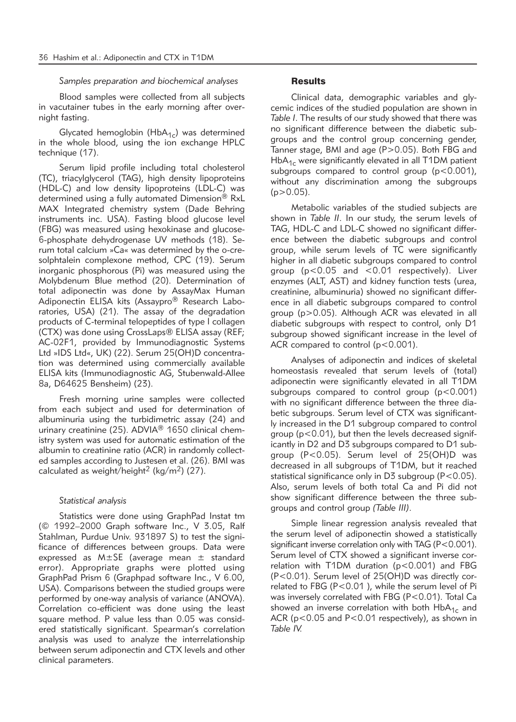### *Samples preparation and biochemical analyses*

Blood samples were collected from all subjects in vacutainer tubes in the early morning after overnight fasting.

Glycated hemoglobin ( $HbA_{1c}$ ) was determined in the whole blood, using the ion exchange HPLC technique (17).

Serum lipid profile including total cholesterol (TC), triacylglycerol (TAG), high density lipoproteins (HDL-C) and low density lipoproteins (LDL-C) was determined using a fully automated Dimension® RxL MAX Integrated chemistry system (Dade Behring instruments inc. USA). Fasting blood glucose level (FBG) was measured using hexokinase and glucose-6-phosphate dehydrogenase UV methods (18). Se rum total calcium »Ca« was determined by the o-cresolphtalein complexone method, CPC (19). Serum inorganic phosphorous (Pi) was measured using the Molybdenum Blue method (20). Determination of total adiponectin was done by AssayMax Human Adiponectin ELISA kits (Assaypro<sup>®</sup> Research Laboratories, USA) (21). The assay of the degradation products of C-terminal telopeptides of type l collagen (CTX) was done using CrossLaps® ELISA assay (REF; AC-02F1, provided by Immunodiagnostic Systems Ltd »IDS Ltd«, UK) (22). Serum 25(OH)D concentration was determined using commercially available ELISA kits (Immunodiagnostic AG, Stubenwald-Allee 8a, D64625 Bensheim) (23).

Fresh morning urine samples were collected from each subject and used for determination of albuminuria using the turbidimetric assay (24) and urinary creatinine (25). ADVIA® 1650 clinical chemistry system was used for automatic estimation of the albumin to creatinine ratio (ACR) in randomly collected samples according to Justesen et al. (26). BMI was calculated as weight/height<sup>2</sup> (kg/m<sup>2</sup>) (27).

### *Statistical analysis*

Statistics were done using GraphPad Instat tm (© 1992–2000 Graph software Inc., V 3.05, Ralf Stahlman, Purdue Univ. 931897 S) to test the significance of differences between groups. Data were expressed as M±SE (average mean ± standard error). Appropriate graphs were plotted using GraphPad Prism 6 (Graphpad software Inc., V 6.00, USA). Comparisons between the studied groups were performed by one-way analysis of variance (ANOVA). Correlation co-efficient was done using the least square method. P value less than 0.05 was considered statistically significant. Spearman's correlation analysis was used to analyze the interrelationship between serum adiponectin and CTX levels and other clinical parameters.

# **Results**

Clinical data, demographic variables and glycemic indices of the studied population are shown in *Table I*. The results of our study showed that there was no significant difference between the diabetic subgroups and the control group concerning gender, Tanner stage, BMI and age (P>0.05). Both FBG and  $HbA<sub>1c</sub>$  were significantly elevated in all T1DM patient subgroups compared to control group  $(p<0.001)$ , without any discrimination among the subgroups  $(p>0.05)$ .

Metabolic variables of the studied subjects are shown in *Table II*. In our study, the serum levels of TAG, HDL-C and LDL-C showed no significant difference between the diabetic subgroups and control group, while serum levels of TC were significantly higher in all diabetic subgroups compared to control group (p<0.05 and <0.01 respectively). Liver enzymes (ALT, AST) and kidney function tests (urea, creatinine, albuminuria) showed no significant difference in all diabetic subgroups compared to control group (p>0.05). Although ACR was elevated in all diabetic subgroups with respect to control, only D1 subgroup showed significant increase in the level of ACR compared to control (p<0.001).

Analyses of adiponectin and indices of skeletal homeostasis revealed that serum levels of (total) adiponectin were significantly elevated in all T1DM subgroups compared to control group  $(p<0.001)$ with no significant difference between the three diabetic subgroups. Serum level of CTX was significantly increased in the D1 subgroup compared to control group (p<0.01), but then the levels decreased significantly in D2 and D3 subgroups compared to D1 subgroup (P<0.05). Serum level of 25(OH)D was decreased in all subgroups of T1DM, but it reached statistical significance only in D3 subgroup (P<0.05). Also, serum levels of both total Ca and Pi did not show significant difference between the three subgroups and control group *(Table III)*.

Simple linear regression analysis revealed that the serum level of adiponectin showed a statistically significant inverse correlation only with TAG (P<0.001). Serum level of CTX showed a significant inverse correlation with T1DM duration ( $p < 0.001$ ) and FBG (P<0.01). Serum level of 25(OH)D was directly correlated to FBG (P<0.01 ), while the serum level of Pi was inversely correlated with FBG (P<0.01). Total Ca showed an inverse correlation with both  $HbA<sub>1c</sub>$  and ACR (p<0.05 and P<0.01 respectively), as shown in *Table IV.*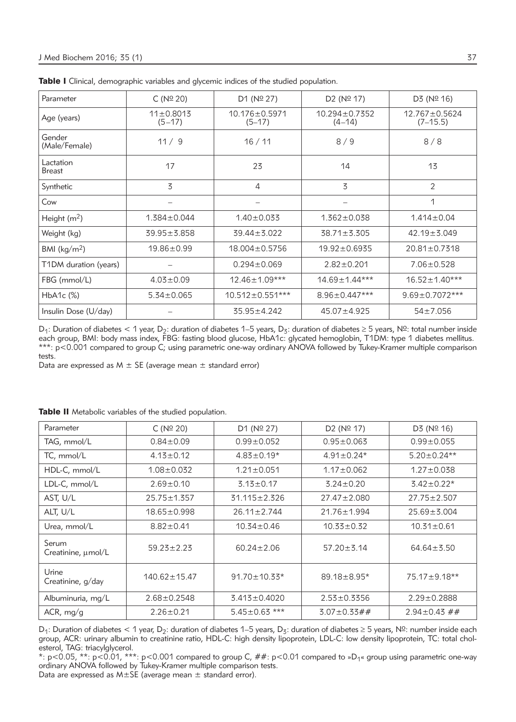| Parameter                  | C(N <sup>°</sup> 20)        | D1 ( $N°$ 27)             | D2 (N <sup>o</sup> 17)            | D3 (N <sup>°</sup> 16)            |
|----------------------------|-----------------------------|---------------------------|-----------------------------------|-----------------------------------|
| Age (years)                | $11 \pm 0.8013$<br>$(5-17)$ | 10.176±0.5971<br>$(5-17)$ | $10.294 \pm 0.7352$<br>$(4 - 14)$ | $12.767 \pm 0.5624$<br>$(7-15.5)$ |
| Gender<br>(Male/Female)    | 11/9                        | 16/11                     | 8/9                               | 8/8                               |
| Lactation<br><b>Breast</b> | 17                          | 23                        | 14                                | 13                                |
| Synthetic                  | 3                           | 4                         | $\overline{5}$                    | $\overline{2}$                    |
| Cow                        |                             |                           |                                   | 1                                 |
| Height $(m2)$              | $1.384 \pm 0.044$           | $1.40 \pm 0.033$          | $1.362 \pm 0.038$                 | $1.414 \pm 0.04$                  |
| Weight (kg)                | $39.95 \pm 3.858$           | $39.44 \pm 3.022$         | $38.71 \pm 3.305$                 | $42.19 \pm 3.049$                 |
| BMI ( $\text{kg/m}^2$ )    | $19.86 \pm 0.99$            | $18.004 \pm 0.5756$       | $19.92 \pm 0.6935$                | $20.81 \pm 0.7318$                |
| T1DM duration (years)      |                             | $0.294 \pm 0.069$         | $2.82 \pm 0.201$                  | $7.06 \pm 0.528$                  |
| FBG (mmol/L)               | $4.03 \pm 0.09$             | 12.46±1.09***             | 14.69±1.44***                     | $16.52 \pm 1.40***$               |
| $HbA1c$ $(\%)$             | $5.34 \pm 0.065$            | $10.512 \pm 0.551***$     | $8.96 \pm 0.447***$               | $9.69 \pm 0.7072***$              |
| Insulin Dose (U/day)       |                             | 35.95±4.242               | $45.07 \pm 4.925$                 | $54 \pm 7.056$                    |

Table I Clinical, demographic variables and glycemic indices of the studied population.

D<sub>1</sub>: Duration of diabetes < 1 year, D<sub>2</sub>: duration of diabetes 1–5 years, D<sub>3</sub>: duration of diabetes ≥ 5 years, Nº: total number inside each group, BMI: body mass index, FBG: fasting blood glucose, HbA1c: glycated hemoglobin, T1DM: type 1 diabetes mellitus. \*\*\*: p<0.001 compared to group C; using parametric one-way ordinary ANOVA followed by Tukey-Kramer multiple comparison tests.

Data are expressed as  $M \pm SE$  (average mean  $\pm$  standard error)

| Parameter                   | C(N <sup>°</sup> 20) | D1 (N <sup>°</sup> 27) | D2 (N <sup>°</sup> 17) | D3 (N <sup>°</sup> 16) |
|-----------------------------|----------------------|------------------------|------------------------|------------------------|
| TAG, mmol/L                 | $0.84 \pm 0.09$      | $0.99 \pm 0.052$       | $0.95 \pm 0.063$       | $0.99 \pm 0.055$       |
| TC, mmol/L                  | $4.13 \pm 0.12$      | $4.83 \pm 0.19*$       | $4.91 \pm 0.24*$       | $5.20 \pm 0.24**$      |
| HDL-C, mmol/L               | $1.08 \pm 0.032$     | $1.21 \pm 0.051$       | $1.17 \pm 0.062$       | $1.27 \pm 0.038$       |
| LDL-C, mmol/L               | $2.69 \pm 0.10$      | $3.13 \pm 0.17$        | $3.24 \pm 0.20$        | $3.42 \pm 0.22*$       |
| AST, U/L                    | $25.75 \pm 1.357$    | 31.115 ± 2.326         | $27.47 \pm 2.080$      | $27.75 \pm 2.507$      |
| ALT, U/L                    | $18.65 \pm 0.998$    | $26.11 \pm 2.744$      | $21.76 \pm 1.994$      | $25.69 \pm 3.004$      |
| Urea, mmol/L                | $8.82 \pm 0.41$      | $10.34 \pm 0.46$       | $10.33 \pm 0.32$       | $10.31 \pm 0.61$       |
| Serum<br>Creatinine, µmol/L | $59.23 \pm 2.23$     | $60.24 \pm 2.06$       | $57.20 \pm 3.14$       | $64.64 \pm 3.50$       |
| Urine<br>Creatinine, g/day  | $140.62 \pm 15.47$   | $91.70 \pm 10.33*$     | $89.18 \pm 8.95*$      | 75.17±9.18**           |
| Albuminuria, mg/L           | $2.68 \pm 0.2548$    | $3.413 \pm 0.4020$     | $2.53 \pm 0.3356$      | $2.29 \pm 0.2888$      |
| ACR, mg/g                   | $2.26 \pm 0.21$      | $5.45 \pm 0.63$ ***    | $3.07 \pm 0.33 \# \#$  | $2.94 \pm 0.43$ ##     |

Table II Metabolic variables of the studied population.

D<sub>1</sub>: Duration of diabetes < 1 year, D<sub>2</sub>: duration of diabetes 1–5 years, D<sub>3</sub>: duration of diabetes ≥ 5 years, N<sup>o</sup>: number inside each group, ACR: urinary albumin to creatinine ratio, HDL-C: high density lipoprotein, LDL-C: low density lipoprotein, TC: total cholesterol, TAG: triacylglycerol.

\*: p<0.05, \*\*: p<0.01, \*\*\*: p<0.001 compared to group C, ##: p<0.01 compared to »D1« group using parametric one-way ordinary ANOVA followed by Tukey-Kramer multiple comparison tests. Data are expressed as  $M \pm SE$  (average mean  $\pm$  standard error).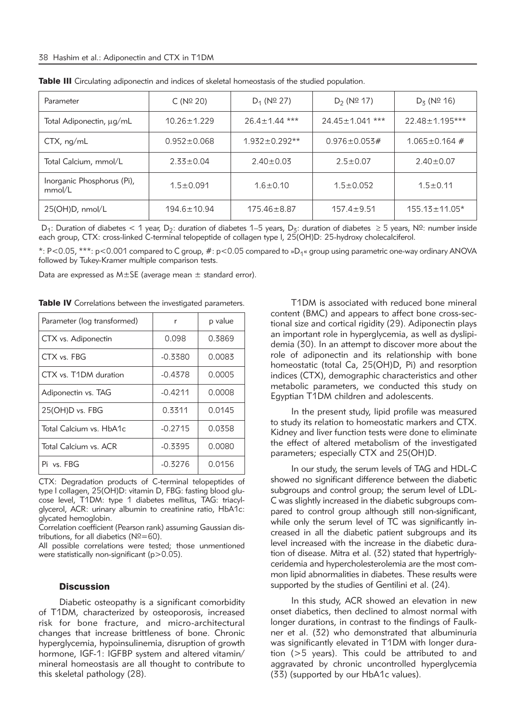| Parameter                            | C (N <sup>o</sup> 20) | $D_1$ (N <sup>o</sup> 27) | $D_2$ (N <sup>o</sup> 17) | $D_5$ (N <sup>o</sup> 16) |
|--------------------------------------|-----------------------|---------------------------|---------------------------|---------------------------|
| Total Adiponectin, µg/mL             | $10.26 \pm 1.229$     | $26.4 \pm 1.44$ ***       | $24.45 \pm 1.041$ ***     | $22.48 \pm 1.195***$      |
| $CTX$ , $nq/mL$                      | $0.952 \pm 0.068$     | $1.932 \pm 0.292**$       | $0.976 \pm 0.053 \#$      | $1.065 \pm 0.164$ #       |
| Total Calcium, mmol/L                | $2.33 \pm 0.04$       | $2.40 \pm 0.03$           | $2.5 \pm 0.07$            | $2.40 \pm 0.07$           |
| Inorganic Phosphorus (Pi),<br>mmol/L | $1.5 \pm 0.091$       | $1.6 \pm 0.10$            | $1.5 \pm 0.052$           | $1.5 \pm 0.11$            |
| 25(OH)D, nmol/L                      | $194.6 \pm 10.94$     | $175.46 \pm 8.87$         | $157.4 \pm 9.51$          | $155.13 \pm 11.05*$       |

| <b>Table III</b> Circulating adiponectin and indices of skeletal homeostasis of the studied population. |
|---------------------------------------------------------------------------------------------------------|
|---------------------------------------------------------------------------------------------------------|

D<sub>1</sub>: Duration of diabetes < 1 year, D<sub>2</sub>: duration of diabetes 1–5 years, D<sub>3</sub>: duration of diabetes ≥ 5 years, N<sup>o</sup>: number inside each group, CTX: cross-linked C-terminal telopeptide of collagen type l, 25(OH)D: 25-hydroxy cholecalciferol.

\*: P<0.05, \*\*\*: p<0.001 compared to C group, #: p<0.05 compared to »D1« group using parametric one-way ordinary ANOVA followed by Tukey-Kramer multiple comparison tests.

Data are expressed as  $M \pm SE$  (average mean  $\pm$  standard error).

| Parameter (log transformed) | r         | p value |
|-----------------------------|-----------|---------|
| CTX vs. Adiponectin         | 0.098     | 0.3869  |
| CTX vs. FBG                 | $-0.3380$ | 0.0083  |
| CTX vs. T1DM duration       | $-0.4378$ | 0.0005  |
| Adiponectin vs. TAG         | $-0.4211$ | 0.0008  |
| 25(OH)D vs. FBG             | 0.3311    | 0.0145  |
| Total Calcium vs. HbA1c     | $-0.2715$ | 0.0358  |
| Total Calcium vs. ACR       | $-0.3395$ | 0.0080  |
| Pi vs. FBG                  | $-0.3276$ | 0.0156  |

Table IV Correlations between the investigated parameters.

CTX: Degradation products of C-terminal telopeptides of type l collagen, 25(OH)D: vitamin D, FBG: fasting blood glucose level, T1DM: type 1 diabetes mellitus, TAG: triacylglycerol, ACR: urinary albumin to creatinine ratio, HbA1c: glycated hemoglobin.

Correlation coefficient (Pearson rank) assuming Gaussian distributions, for all diabetics ( $N^{\circ} = 60$ ).

All possible correlations were tested; those unmentioned were statistically non-significant  $(p>0.05)$ .

#### **Discussion**

Diabetic osteopathy is a significant comorbidity of T1DM, characterized by osteoporosis, increased risk for bone fracture, and micro-architectural changes that increase brittleness of bone. Chronic hyperglycemia, hypoinsulinemia, disruption of growth hormone, IGF-1: IGFBP system and altered vitamin/ mineral homeostasis are all thought to contribute to this skeletal pathology (28).

T1DM is associated with reduced bone mineral content (BMC) and appears to affect bone cross-sectional size and cortical rigidity (29). Adiponectin plays an important role in hyperglycemia, as well as dyslipidemia (30). In an attempt to discover more about the role of adiponectin and its relationship with bone homeostatic (total Ca, 25(OH)D, Pi) and resorption indices (CTX), demographic characteristics and other metabolic parameters, we conducted this study on Egyp tian T1DM children and adolescents.

In the present study, lipid profile was measured to study its relation to homeostatic markers and CTX. Kidney and liver function tests were done to eliminate the effect of altered metabolism of the investigated parameters; especially CTX and 25(OH)D.

In our study, the serum levels of TAG and HDL-C showed no significant difference between the diabetic subgroups and control group; the serum level of LDL-C was slightly increased in the diabetic subgroups compared to control group although still non-significant, while only the serum level of TC was significantly increased in all the diabetic patient subgroups and its level increased with the increase in the diabetic duration of disease. Mitra et al. (32) stated that hypertriglyceridemia and hypercholesterolemia are the most common lipid abnormalities in diabetes. These results were supported by the studies of Gentilini et al. (24).

In this study, ACR showed an elevation in new onset diabetics, then declined to almost normal with longer durations, in contrast to the findings of Faulkner et al. (32) who demonstrated that albuminuria was significantly elevated in T1DM with longer duration (>5 years). This could be attributed to and aggravated by chronic uncontrolled hyperglycemia (33) (supported by our HbA1c values).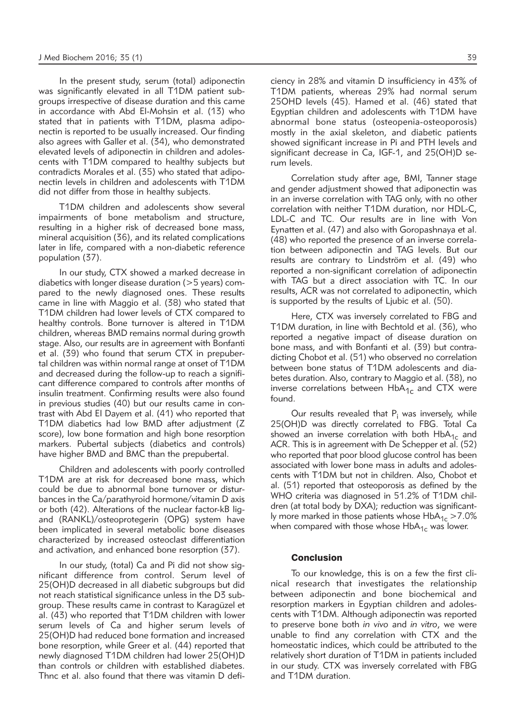In the present study, serum (total) adiponectin was significantly elevated in all T1DM patient subgroups irrespective of disease duration and this came in accordance with Abd El-Mohsin et al. (13) who stated that in patients with T1DM, plasma adiponectin is reported to be usually increased. Our finding also agrees with Galler et al. (34), who demonstrated elevated levels of adiponectin in children and adolescents with T1DM compared to healthy subjects but contradicts Morales et al. (35) who stated that adiponectin levels in children and adolescents with T1DM did not differ from those in healthy subjects.

T1DM children and adolescents show several impairments of bone metabolism and structure, resulting in a higher risk of decreased bone mass, mineral acquisition (36), and its related complications later in life, compared with a non-diabetic reference population (37).

In our study, CTX showed a marked decrease in diabetics with longer disease duration (>5 years) com pared to the newly diagnosed ones. These results came in line with Maggio et al. (38) who stated that T1DM children had lower levels of CTX compared to healthy controls. Bone turnover is altered in T1DM children, whereas BMD remains normal during growth stage. Also, our results are in agreement with Bonfanti et al.  $(39)$  who found that serum CTX in prepubertal children was within normal range at onset of T1DM and decreased during the follow-up to reach a significant difference compared to controls after months of insulin treatment. Confirming results were also found in previous studies (40) but our results came in contrast with Abd El Dayem et al. (41) who reported that T1DM diabetics had low BMD after adjustment (Z score), low bone formation and high bone resorption markers. Pubertal subjects (diabetics and controls) have higher BMD and BMC than the prepubertal.

Children and adolescents with poorly controlled T1DM are at risk for decreased bone mass, which could be due to abnormal bone turnover or disturbances in the Ca/parathyroid hormone/vitamin D axis or both (42). Alterations of the nuclear factor-kB ligand (RANKL)/osteoprotegerin (OPG) system have been implicated in several metabolic bone diseases characterized by increased osteoclast differentiation and activation, and enhanced bone resorption (37).

In our study, (total) Ca and Pi did not show significant difference from control. Serum level of 25(OH)D decreased in all diabetic subgroups but did not reach statistical significance unless in the D3 subgroup. These results came in contrast to Karagüzel et al. (43) who reported that T1DM children with lower serum levels of Ca and higher serum levels of 25(OH)D had reduced bone formation and increased bone resorption, while Greer et al. (44) reported that newly diagnosed T1DM children had lower 25(OH)D than controls or children with established diabetes. Thnc et al. also found that there was vitamin D deficiency in 28% and vitamin D insufficiency in 43% of T1DM patients, whereas 29% had normal serum 25OHD levels (45). Hamed et al. (46) stated that Egyptian children and adolescents with T1DM have abnormal bone status (osteopenia-osteoporosis) mostly in the axial skeleton, and diabetic patients showed significant increase in Pi and PTH levels and significant decrease in Ca, IGF-1, and 25(OH)D serum levels.

Correlation study after age, BMI, Tanner stage and gender adjustment showed that adiponectin was in an inverse correlation with TAG only, with no other correlation with neither T1DM duration, nor HDL-C, LDL-C and TC. Our results are in line with Von Eynatten et al. (47) and also with Goropashnaya et al. (48) who reported the presence of an inverse correlation between adiponectin and TAG levels. But our results are contrary to Lindström et al. (49) who reported a non-significant correlation of adiponectin with TAG but a direct association with TC. In our results, ACR was not correlated to adiponectin, which is supported by the results of Ljubic et al. (50).

Here, CTX was inversely correlated to FBG and T1DM duration, in line with Bechtold et al. (36), who reported a negative impact of disease duration on bone mass, and with Bonfanti et al. (39) but contradicting Chobot et al. (51) who observed no correlation between bone status of T1DM adolescents and diabetes duration. Also, contrary to Maggio et al. (38), no inverse correlations between  $HbA_{1c}$  and CTX were found.

Our results revealed that  $P_i$  was inversely, while 25(OH)D was directly correlated to FBG. Total Ca showed an inverse correlation with both  $HbA_{1c}$  and ACR. This is in agreement with De Schepper et al. (52) who reported that poor blood glucose control has been associated with lower bone mass in adults and adolescents with T1DM but not in children. Also, Chobot et al. (51) reported that osteoporosis as defined by the WHO criteria was diagnosed in 51.2% of T1DM children (at total body by DXA); reduction was significantly more marked in those patients whose  $HbA_{1c} > 7.0\%$ when compared with those whose  $HbA_{1c}$  was lower.

#### Conclusion

To our knowledge, this is on a few the first clinical research that investigates the relationship between adiponectin and bone biochemical and resorption markers in Egyptian children and adolescents with T1DM. Although adiponectin was reported to preserve bone both *in vivo* and *in vitro*, we were unable to find any correlation with CTX and the homeostatic indices, which could be attributed to the relatively short duration of T1DM in patients included in our study. CTX was inversely correlated with FBG and T1DM duration.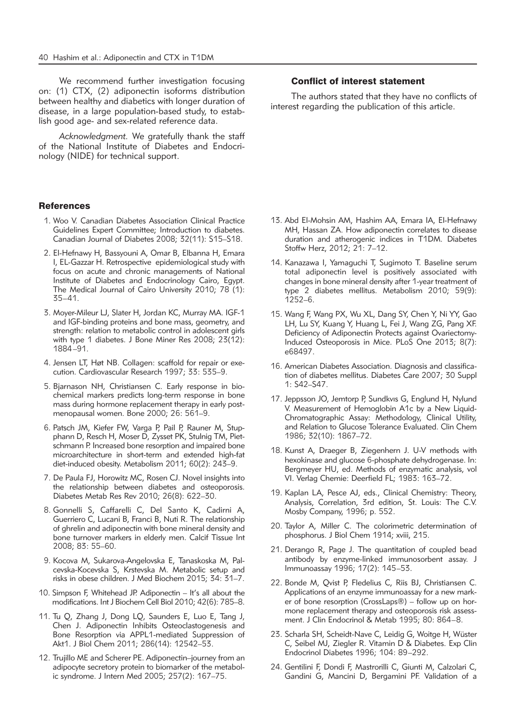We recommend further investigation focusing on: (1) CTX, (2) adiponectin isoforms distribution between healthy and diabetics with longer duration of disease, in a large population-based study, to establish good age- and sex-related reference data.

*Acknowledgment.* We gratefully thank the staff of the National Institute of Diabetes and Endocrinology (NIDE) for technical support.

#### References

- 1. Woo V. Canadian Diabetes Association Clinical Practice Guidelines Expert Committee; Introduction to diabetes. Canadian Journal of Diabetes 2008; 32(11): S15–S18.
- 2. El-Hefnawy H, Bassyouni A, Omar B, Elbanna H, Emara I, EL-Gazzar H. Retrospective epidemiological study with focus on acute and chronic managements of National Institute of Diabetes and Endocrinology Cairo, Egypt. The Medical Journal of Cairo University 2010; 78 (1): 35–41.
- 3. Moyer-Mileur LJ, Slater H, Jordan KC, Murray MA. IGF-1 and IGF-binding proteins and bone mass, geometry, and strength: relation to metabolic control in adolescent girls with type 1 diabetes. J Bone Miner Res 2008; 23(12): 1884–91.
- 4. Jensen LT, Høt NB. Collagen: scaffold for repair or execution. Cardiovascular Research 1997; 33: 535–9.
- 5. Bjarnason NH, Christiansen C. Early response in biochemical markers predicts long-term response in bone mass during hormone replacement therapy in early postmenopausal women. Bone 2000; 26: 561–9.
- 6. Patsch JM, Kiefer FW, Varga P, Pail P, Rauner M, Stupphann D, Resch H, Moser D, Zysset PK, Stulnig TM, Pietschmann P. Increased bone resorption and impaired bone microarchitecture in short-term and extended high-fat diet-induced obesity. Metabolism 2011; 60(2): 243-9.
- 7. De Paula FJ, Horowitz MC, Rosen CJ. Novel insights into the relationship between diabetes and osteoporosis. Diabetes Metab Res Rev 2010; 26(8): 622–30.
- 8. Gonnelli S, Caffarelli C, Del Santo K, Cadirni A, Guerriero C, Lucani B, Franci B, Nuti R. The relationship of ghrelin and adiponectin with bone mineral density and bone turnover markers in elderly men. Calcif Tissue Int 2008; 83: 55–60.
- 9. Kocova M, Sukarova-Angelovska E, Tanaskoska M, Palcevska-Kocevska S, Krstevska M. Metabolic setup and risks in obese children. J Med Biochem 2015; 34: 31–7.
- 10. Simpson F, Whitehead JP. Adiponectin It's all about the modifications. Int J Biochem Cell Biol 2010; 42(6): 785–8.
- 11. Tu Q, Zhang J, Dong LQ, Saunders E, Luo E, Tang J, Chen J. Adiponectin Inhibits Osteoclastogenesis and Bone Resorption via APPL1-mediated Suppression of Akt1. J Biol Chem 2011; 286(14): 12542–53.
- 12. Trujillo ME and Scherer PE. Adiponectin–journey from an adipocyte secretory protein to biomarker of the metabolic syndrome. J Intern Med 2005; 257(2): 167–75.

#### Conflict of interest statement

The authors stated that they have no conflicts of interest regarding the publication of this article.

- 13. Abd El-Mohsin AM, Hashim AA, Emara IA, El-Hefnawy MH, Hassan ZA. How adiponectin correlates to disease duration and atherogenic indices in T1DM. Diabetes Stoffw Herz, 2012; 21: 7–12.
- 14. Kanazawa I, Yamaguchi T, Sugimoto T. Baseline serum total adiponectin level is positively associated with changes in bone mineral density after 1-year treatment of type 2 diabetes mellitus. Metabolism 2010; 59(9): 1252–6.
- 15. Wang F, Wang PX, Wu XL, Dang SY, Chen Y, Ni YY, Gao LH, Lu SY, Kuang Y, Huang L, Fei J, Wang ZG, Pang XF. Deficiency of Adiponectin Protects against Ovariectomy-Induced Osteoporosis in Mice. PLoS One 2013; 8(7): e68497.
- 16. American Diabetes Association. Diagnosis and classification of diabetes mellitus. Diabetes Care 2007; 30 Suppl 1: S42–S47.
- 17. Jeppsson JO, Jemtorp P, Sundkvıs G, Englund H, Nylund V. Measurement of Hemoglobin A1c by a New Liquid-Chromatographic Assay: Methodology, Clinical Utility, and Relation to Glucose Tolerance Evaluated. Clin Chem 1986; 32(10): 1867–72.
- 18. Kunst A, Draeger B, Ziegenhern J. U-V methods with hexokinase and glucose 6-phosphate dehydrogenase. In: Bergmeyer HU, ed. Methods of enzymatic analysis, vol VI. Verlag Chemie: Deerfield FL; 1983: 163–72.
- 19. Kaplan LA, Pesce AJ, eds., Clinical Chemistry: Theory, Analysis, Correlation, 3rd edition, St. Louis: The C.V. Mosby Company, 1996; p. 552.
- 20. Taylor A, Miller C. The colorimetric determination of phosphorus. J Biol Chem 1914; xviii, 215.
- 21. Derango R, Page J. The quantitation of coupled bead antibody by enzyme-linked immunosorbent assay. J Immunoassay 1996; 17(2): 145–53.
- 22. Bonde M, Qvist P, Fledelius C, Riis BJ, Christiansen C. Applications of an enzyme immunoassay for a new marker of bone resorption (CrossLaps®) – follow up on hormone replacement therapy and osteoporosis risk assessment. J Clin Endocrinol & Metab 1995; 80: 864–8.
- 23. Scharla SH, Scheidt-Nave C, Leidig G, Woitge H, Wüster C, Seibel MJ, Ziegler R. Vitamin D & Diabetes. Exp Clin Endocrinol Diabetes 1996; 104: 89–292.
- 24. Gentilini F, Dondi F, Mastrorilli C, Giunti M, Calzolari C, Gandini G, Mancini D, Bergamini PF. Validation of a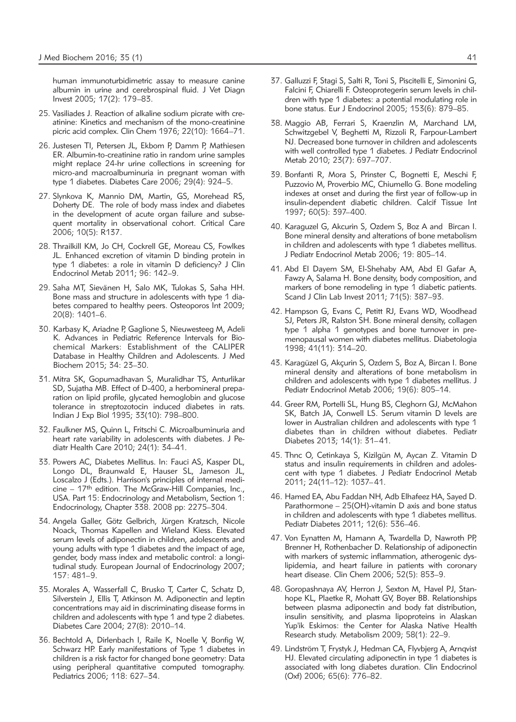human immunoturbidimetric assay to measure canine albumin in urine and cerebrospinal fluid. J Vet Diagn Invest 2005; 17(2): 179–83.

- 25. Vasiliades J. Reaction of alkaline sodium picrate with creatinine: Kinetics and mechanism of the mono-creatinine picric acid complex. Clin Chem 1976; 22(10): 1664–71.
- 26. Justesen TI, Petersen JL, Ekbom P, Damm P, Mathiesen ER. Albumin-to-creatinine ratio in random urine samples might replace 24-hr urine collections in screening for micro-and macroalbuminuria in pregnant woman with type 1 diabetes. Diabetes Care 2006; 29(4): 924–5.
- 27. Slynkova K, Mannio DM, Martin, GS, Morehead RS, Doherty DE. The role of body mass index and diabetes in the development of acute organ failure and subsequent mortality in observational cohort. Critical Care 2006; 10(5): R137.
- 28. Thrailkill KM, Jo CH, Cockrell GE, Moreau CS, Fowlkes JL. Enhanced excretion of vitamin D binding protein in type 1 diabetes: a role in vitamin D deficiency? J Clin Endocrinol Metab 2011; 96: 142–9.
- 29. Saha MT, Sievänen H, Salo MK, Tulokas S, Saha HH. Bone mass and structure in adolescents with type 1 diabetes compared to healthy peers. Osteoporos Int 2009; 20(8): 1401–6.
- 30. Karbasy K, Ariadne P, Gaglione S, Nieuwesteeg M, Adeli K. Advances in Pediatric Reference Intervals for Biochemical Markers: Establishment of the CALIPER Database in Healthy Children and Adolescents. J Med Biochem 2015; 34: 23–30.
- 31. Mitra SK, Gopumadhavan S, Muralidhar TS, Anturlikar SD, Sujatha MB. Effect of D-400, a herbomineral preparation on lipid profile, glycated hemoglobin and glucose tolerance in streptozotocin induced diabetes in rats. Indian J Exp Biol 1995; 33(10): 798–800.
- 32. Faulkner MS, Quinn L, Fritschi C. Microalbuminuria and heart rate variability in adolescents with diabetes. J Pediatr Health Care 2010; 24(1): 34–41.
- 33. Powers AC, Diabetes Mellitus. In: Fauci AS, Kasper DL, Longo DL, Braunwald E, Hauser SL, Jameson JL, Loscalzo J (Edts.). Harrison's principles of internal medicine – 17th edition. The McGraw-Hill Companies, Inc., USA. Part 15: Endocrinology and Metabolism, Section 1: Endocrinology, Chapter 338. 2008 pp: 2275–304.
- 34. Angela Galler, Götz Gelbrich, Jürgen Kratzsch, Nicole Noack, Thomas Kapellen and Wieland Kiess. Elevated serum levels of adiponectin in children, adolescents and young adults with type 1 diabetes and the impact of age, gender, body mass index and metabolic control: a longitudinal study. European Journal of Endocrinology 2007; 157: 481–9.
- 35. Morales A, Wasserfall C, Brusko T, Carter C, Schatz D, Silverstein J, Ellis T, Atkinson M. Adiponectin and leptin concentrations may aid in discriminating disease forms in children and adolescents with type 1 and type 2 diabetes. Diabetes Care 2004; 27(8): 2010–14.
- 36. Bechtold A, Dirlenbach I, Raile K, Noelle V, Bonfig W, Schwarz HP. Early manifestations of Type 1 diabetes in children is a risk factor for changed bone geometry: Data using peripheral quantitative computed tomography. Pediatrics 2006; 118: 627–34.
- 37. Galluzzi F, Stagi S, Salti R, Toni S, Piscitelli E, Simonini G, Falcini F, Chiarelli F. Osteoprotegerin serum levels in children with type 1 diabetes: a potential modulating role in bone status. Eur J Endocrinol 2005; 153(6): 879–85.
- 38. Maggio AB, Ferrari S, Kraenzlin M, Marchand LM, Schwitzgebel V, Beghetti M, Rizzoli R, Farpour-Lambert NJ. Decreased bone turnover in children and adolescents with well controlled type 1 diabetes. J Pediatr Endocrinol Metab 2010; 23(7): 697–707.
- 39. Bonfanti R, Mora S, Prinster C, Bognetti E, Meschi F, Puzzovio M, Proverbio MC, Chiumello G. Bone modeling indexes at onset and during the first year of follow-up in insulin-dependent diabetic children. Calcif Tissue Int 1997; 60(5): 397–400.
- 40. Karaguzel G, Akcurin S, Ozdem S, Boz A and Bircan I. Bone mineral density and alterations of bone metabolism in children and adolescents with type 1 diabetes mellitus. J Pediatr Endocrinol Metab 2006; 19: 805–14.
- 41. Abd El Dayem SM, El-Shehaby AM, Abd El Gafar A, Fawzy A, Salama H. Bone density, body composition, and markers of bone remodeling in type 1 diabetic patients. Scand J Clin Lab Invest 2011; 71(5): 387–93.
- 42. Hampson G, Evans C, Petitt RJ, Evans WD, Woodhead SJ, Peters JR, Ralston SH. Bone mineral density, collagen type 1 alpha 1 genotypes and bone turnover in premenopausal women with diabetes mellitus. Diabetologia 1998; 41(11): 314–20.
- 43. Karagüzel G, Akçurin S, Ozdem S, Boz A, Bircan I. Bone mineral density and alterations of bone metabolism in children and adolescents with type 1 diabetes mellitus. J Pediatr Endocrinol Metab 2006; 19(6): 805–14.
- 44. Greer RM, Portelli SL, Hung BS, Cleghorn GJ, McMahon SK, Batch JA, Conwell LS. Serum vitamin D levels are lower in Australian children and adolescents with type 1 diabetes than in children without diabetes. Pediatr Diabetes 2013; 14(1): 31–41.
- 45. Thnc O, Cetinkaya S, Kizilgün M, Aycan Z. Vitamin D status and insulin requirements in children and adolescent with type 1 diabetes. J Pediatr Endocrinol Metab 2011; 24(11–12): 1037–41.
- 46. Hamed EA, Abu Faddan NH, Adb Elhafeez HA, Sayed D. Parathormone – 25(OH)-vitamin D axis and bone status in children and adolescents with type 1 diabetes mellitus. Pediatr Diabetes 2011; 12(6): 536–46.
- 47. Von Eynatten M, Hamann A, Twardella D, Nawroth PP, Brenner H, Rothenbacher D. Relationship of adiponectin with markers of systemic inflammation, atherogenic dyslipidemia, and heart failure in patients with coronary heart disease. Clin Chem 2006; 52(5): 853–9.
- 48. Goropashnaya AV, Herron J, Sexton M, Havel PJ, Stanhope KL, Plaetke R, Mohatt GV, Boyer BB. Relationships between plasma adiponectin and body fat distribution, insulin sensitivity, and plasma lipoproteins in Alaskan Yup'ik Eskimos: the Center for Alaska Native Health Research study. Metabolism 2009; 58(1): 22–9.
- 49. Lindström T, Frystyk J, Hedman CA, Flyvbjerg A, Arnqvist HJ. Elevated circulating adiponectin in type 1 diabetes is associated with long diabetes duration. Clin Endocrinol (Oxf) 2006; 65(6): 776–82.